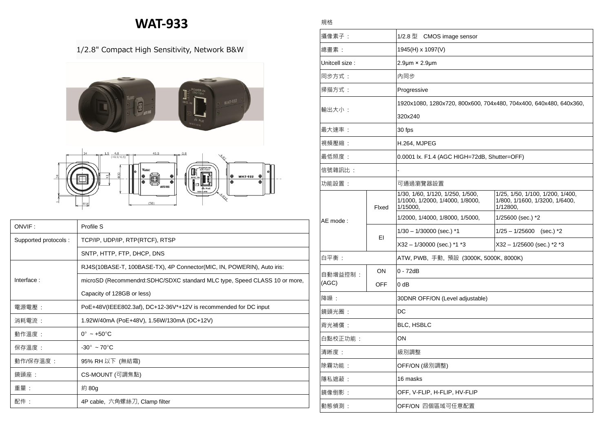## **WAT-933**

## 1/2.8" Compact High Sensitivity, Network B&W



| ONVIF:               | Profile S                                                                  |  |  |
|----------------------|----------------------------------------------------------------------------|--|--|
| Supported protocols: | TCP/IP, UDP/IP, RTP(RTCF), RTSP                                            |  |  |
|                      | SNTP, HTTP, FTP, DHCP, DNS                                                 |  |  |
|                      | RJ4S(10BASE-T, 100BASE-TX), 4P Connector(MIC, IN, POWERIN), Auto iris:     |  |  |
| Interface:           | microSD (Recommendrd: SDHC/SDXC standard MLC type, Speed CLASS 10 or more, |  |  |
|                      | Capacity of 128GB or less)                                                 |  |  |
| 電源電壓:                | PoE+48V(IEEE802.3af), DC+12-36V*+12V is recommended for DC input           |  |  |
| 消耗電流 :               | 1.92W/40mA (PoE+48V), 1.56W/130mA (DC+12V)                                 |  |  |
| 動作溫度:                | $0^{\circ}$ ~ +50 $^{\circ}$ C                                             |  |  |
| 保存溫度 :               | $-30^\circ \sim 70^\circ \text{C}$                                         |  |  |
| 動作/保存溫度 :            | 95% RH 以下 (無結霜)                                                            |  |  |
| 鏡頭座:                 | CS-MOUNT (可調焦點)                                                            |  |  |
| 重量:                  | 約 80g                                                                      |  |  |
| 配件:                  | 4P cable, 六角螺絲刀, Clamp filter                                              |  |  |

| 攝像素子:            |            | 1/2.8 型 CMOS image sensor                                                       |                                                                                |  |
|------------------|------------|---------------------------------------------------------------------------------|--------------------------------------------------------------------------------|--|
| 總畫素:             |            | 1945(H) x 1097(V)                                                               |                                                                                |  |
| Unitcell size :  |            | $2.9 \mu m \times 2.9 \mu m$                                                    |                                                                                |  |
| 同步方式:            |            | 内同步                                                                             |                                                                                |  |
| 掃描方式:            |            | Progressive                                                                     |                                                                                |  |
| 輸出大小:            |            | 1920x1080, 1280x720, 800x600, 704x480, 704x400, 640x480, 640x360,               |                                                                                |  |
|                  |            | 320x240                                                                         |                                                                                |  |
| 最大速率:            |            | 30 fps                                                                          |                                                                                |  |
| 視頻壓縮:            |            | H.264, MJPEG                                                                    |                                                                                |  |
| 最低照度:            |            | 0.0001 lx. F1.4 (AGC HIGH=72dB, Shutter=OFF)                                    |                                                                                |  |
| 信號雜訊比:           |            |                                                                                 |                                                                                |  |
| 功能設置:            |            | 可通過瀏覽器設置                                                                        |                                                                                |  |
| AE mode:         | Fixed      | 1/30, 1/60, 1/120, 1/250, 1/500,<br>1/1000, 1/2000, 1/4000, 1/8000,<br>1/15000, | 1/25, 1/50, 1/100, 1/200, 1/400,<br>1/800, 1/1600, 1/3200, 1/6400,<br>1/12800, |  |
|                  |            | 1/2000, 1/4000, 1/8000, 1/5000,                                                 | 1/25600 (sec.) *2                                                              |  |
|                  | ΕI         | $1/30 - 1/30000$ (sec.) *1                                                      | $1/25 - 1/25600$ (sec.) *2                                                     |  |
|                  |            | X32 - 1/30000 (sec.) *1 *3                                                      | $X32 - 1/25600$ (sec.) *2 *3                                                   |  |
| 白平衡:             |            | ATW, PWB, 手動, 預設 (3000K, 5000K, 8000K)                                          |                                                                                |  |
| 自動增益控制:<br>(AGC) | ON         | $0 - 72dB$                                                                      |                                                                                |  |
|                  | <b>OFF</b> | $0$ dB                                                                          |                                                                                |  |
| 降噪:              |            | 30DNR OFF/ON (Level adjustable)                                                 |                                                                                |  |
| 鏡頭光圈:            |            | DC                                                                              |                                                                                |  |
| 背光補償:            |            | <b>BLC, HSBLC</b>                                                               |                                                                                |  |
| 白點校正功能:          |            | OΝ                                                                              |                                                                                |  |
| 清晰度:             |            | 級別調整                                                                            |                                                                                |  |
| 除霧功能:            |            | OFF/ON (級別調整)                                                                   |                                                                                |  |
| 隱私遮蔽:            |            | 16 masks                                                                        |                                                                                |  |
| 鏡像倒影:            |            | OFF, V-FLIP, H-FLIP, HV-FLIP                                                    |                                                                                |  |
| 動態偵測:            |            | OFF/ON 四個區域可任意配置                                                                |                                                                                |  |